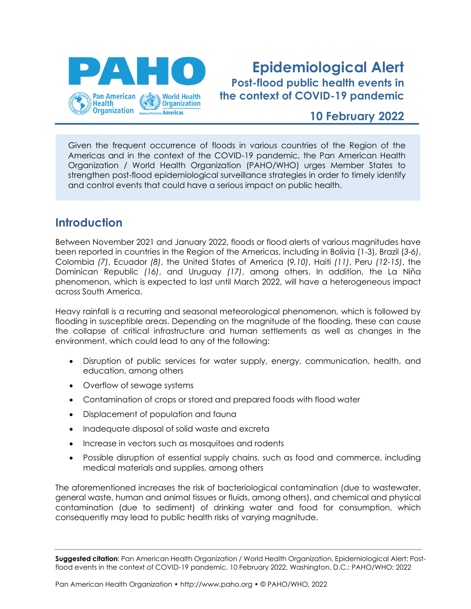

# **Epidemiological Alert Post-flood public health events in the context of COVID-19 pandemic**

## **10 February 2022**

Given the frequent occurrence of floods in various countries of the Region of the Americas and in the context of the COVID-19 pandemic, the Pan American Health Organization / World Health Organization (PAHO/WHO) urges Member States to strengthen post-flood epidemiological surveillance strategies in order to timely identify and control events that could have a serious impact on public health.

# **Introduction**

Between November 2021 and January 2022, floods or flood alerts of various magnitudes have been reported in countries in the Region of the Americas, including in Bolivia (1-3), Brazil (*3-6)*, Colombia *(7)*, Ecuador *(8)*, the United States of America (*9,10)*, Haiti *(11)*, Peru *(12-15)*, the Dominican Republic *(16)*, and Uruguay *(17)*, among others. In addition, the La Niña phenomenon, which is expected to last until March 2022, will have a heterogeneous impact across South America.

Heavy rainfall is a recurring and seasonal meteorological phenomenon, which is followed by flooding in susceptible areas. Depending on the magnitude of the flooding, these can cause the collapse of critical infrastructure and human settlements as well as changes in the environment, which could lead to any of the following:

- Disruption of public services for water supply, energy, communication, health, and education, among others
- Overflow of sewage systems
- Contamination of crops or stored and prepared foods with flood water
- Displacement of population and fauna
- Inadequate disposal of solid waste and excreta
- Increase in vectors such as mosquitoes and rodents
- Possible disruption of essential supply chains, such as food and commerce, including medical materials and supplies, among others

The aforementioned increases the risk of bacteriological contamination (due to wastewater, general waste, human and animal tissues or fluids, among others), and chemical and physical contamination (due to sediment) of drinking water and food for consumption, which consequently may lead to public health risks of varying magnitude.

**Suggested citation**: Pan American Health Organization / World Health Organization. Epidemiological Alert: Postflood events in the context of COVID-19 pandemic. 10 February 2022, Washington, D.C.: PAHO/WHO; 2022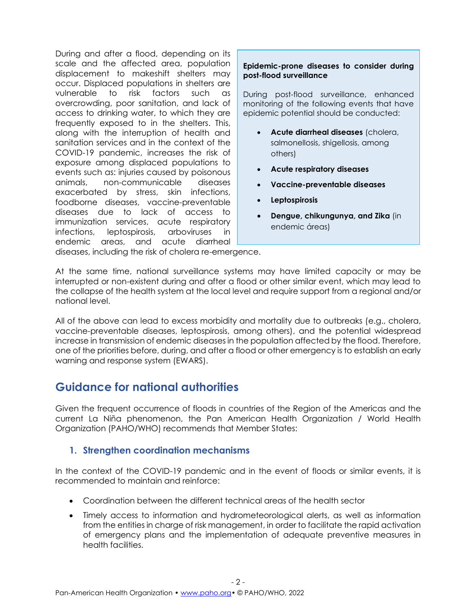During and after a flood, depending on its scale and the affected area, population displacement to makeshift shelters may occur. Displaced populations in shelters are vulnerable to risk factors such as overcrowding, poor sanitation, and lack of access to drinking water, to which they are frequently exposed to in the shelters. This, along with the interruption of health and sanitation services and in the context of the COVID-19 pandemic, increases the risk of exposure among displaced populations to events such as: injuries caused by poisonous animals, non-communicable diseases exacerbated by stress, skin infections, foodborne diseases, vaccine-preventable diseases due to lack of access to immunization services, acute respiratory infections, leptospirosis, arboviruses in endemic areas, and acute diarrheal

#### **Epidemic-prone diseases to consider during post-flood surveillance**

During post-flood surveillance, enhanced monitoring of the following events that have epidemic potential should be conducted:

- **Acute diarrheal diseases** (cholera, salmonellosis, shigellosis, among others)
- **Acute respiratory diseases**
- **Vaccine-preventable diseases**
- **Leptospirosis**
- **Dengue, chikungunya, and Zika** (in endemic áreas)

diseases, including the risk of cholera re-emergence.

At the same time, national surveillance systems may have limited capacity or may be interrupted or non-existent during and after a flood or other similar event, which may lead to the collapse of the health system at the local level and require support from a regional and/or national level.

All of the above can lead to excess morbidity and mortality due to outbreaks (e.g., cholera, vaccine-preventable diseases, leptospirosis, among others), and the potential widespread increase in transmission of endemic diseases in the population affected by the flood. Therefore, one of the priorities before, during, and after a flood or other emergency is to establish an early warning and response system (EWARS).

# **Guidance for national authorities**

Given the frequent occurrence of floods in countries of the Region of the Americas and the current La Niña phenomenon, the Pan American Health Organization / World Health Organization (PAHO/WHO) recommends that Member States:

## **1. Strengthen coordination mechanisms**

In the context of the COVID-19 pandemic and in the event of floods or similar events, it is recommended to maintain and reinforce:

- Coordination between the different technical areas of the health sector
- Timely access to information and hydrometeorological alerts, as well as information from the entities in charge of risk management, in order to facilitate the rapid activation of emergency plans and the implementation of adequate preventive measures in health facilities.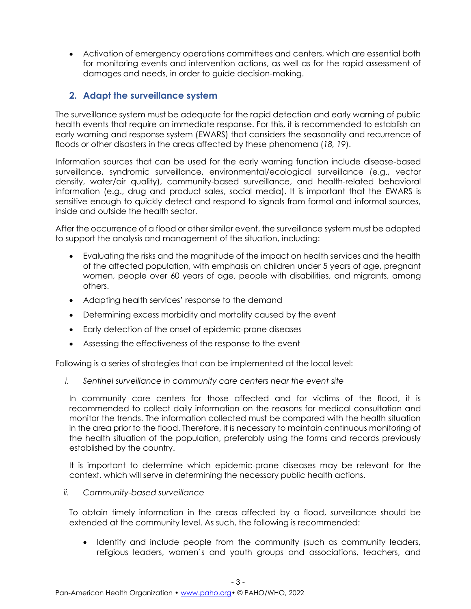• Activation of emergency operations committees and centers, which are essential both for monitoring events and intervention actions, as well as for the rapid assessment of damages and needs, in order to guide decision-making.

## **2. Adapt the surveillance system**

The surveillance system must be adequate for the rapid detection and early warning of public health events that require an immediate response. For this, it is recommended to establish an early warning and response system (EWARS) that considers the seasonality and recurrence of floods or other disasters in the areas affected by these phenomena (*18, 19*).

Information sources that can be used for the early warning function include disease-based surveillance, syndromic surveillance, environmental/ecological surveillance (e.g., vector density, water/air quality), community-based surveillance, and health-related behavioral information (e.g., drug and product sales, social media). It is important that the EWARS is sensitive enough to quickly detect and respond to signals from formal and informal sources, inside and outside the health sector.

After the occurrence of a flood or other similar event, the surveillance system must be adapted to support the analysis and management of the situation, including:

- Evaluating the risks and the magnitude of the impact on health services and the health of the affected population, with emphasis on children under 5 years of age, pregnant women, people over 60 years of age, people with disabilities, and migrants, among others.
- Adapting health services' response to the demand
- Determining excess morbidity and mortality caused by the event
- Early detection of the onset of epidemic-prone diseases
- Assessing the effectiveness of the response to the event

Following is a series of strategies that can be implemented at the local level:

*i. Sentinel surveillance in community care centers near the event site*

In community care centers for those affected and for victims of the flood, it is recommended to collect daily information on the reasons for medical consultation and monitor the trends. The information collected must be compared with the health situation in the area prior to the flood. Therefore, it is necessary to maintain continuous monitoring of the health situation of the population, preferably using the forms and records previously established by the country.

It is important to determine which epidemic-prone diseases may be relevant for the context, which will serve in determining the necessary public health actions.

#### *ii. Community-based surveillance*

To obtain timely information in the areas affected by a flood, surveillance should be extended at the community level. As such, the following is recommended:

• Identify and include people from the community (such as community leaders, religious leaders, women's and youth groups and associations, teachers, and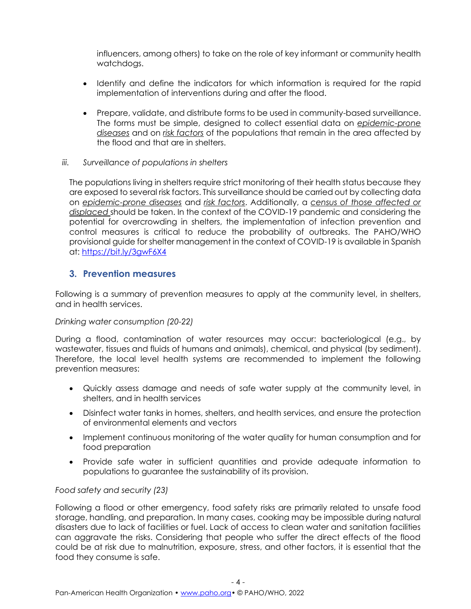influencers, among others) to take on the role of key informant or community health watchdogs.

- Identify and define the indicators for which information is required for the rapid implementation of interventions during and after the flood.
- Prepare, validate, and distribute forms to be used in community-based surveillance. The forms must be simple, designed to collect essential data on *epidemic-prone diseases* and on *risk factors* of the populations that remain in the area affected by the flood and that are in shelters.
- *iii. Surveillance of populations in shelters*

The populations living in shelters require strict monitoring of their health status because they are exposed to several risk factors. This surveillance should be carried out by collecting data on *epidemic-prone diseases* and *risk factors*. Additionally, a *census of those affected or displaced* should be taken. In the context of the COVID-19 pandemic and considering the potential for overcrowding in shelters, the implementation of infection prevention and control measures is critical to reduce the probability of outbreaks. The PAHO/WHO provisional guide for shelter management in the context of COVID-19 is available in Spanish at: <https://bit.ly/3gwF6X4>

## **3. Prevention measures**

Following is a summary of prevention measures to apply at the community level, in shelters, and in health services.

### *Drinking water consumption (20-22)*

During a flood, contamination of water resources may occur: bacteriological (e.g., by wastewater, tissues and fluids of humans and animals), chemical, and physical (by sediment). Therefore, the local level health systems are recommended to implement the following prevention measures:

- Quickly assess damage and needs of safe water supply at the community level, in shelters, and in health services
- Disinfect water tanks in homes, shelters, and health services, and ensure the protection of environmental elements and vectors
- Implement continuous monitoring of the water quality for human consumption and for food preparation
- Provide safe water in sufficient quantities and provide adequate information to populations to guarantee the sustainability of its provision.

### *Food safety and security (23)*

Following a flood or other emergency, food safety risks are primarily related to unsafe food storage, handling, and preparation. In many cases, cooking may be impossible during natural disasters due to lack of facilities or fuel. Lack of access to clean water and sanitation facilities can aggravate the risks. Considering that people who suffer the direct effects of the flood could be at risk due to malnutrition, exposure, stress, and other factors, it is essential that the food they consume is safe.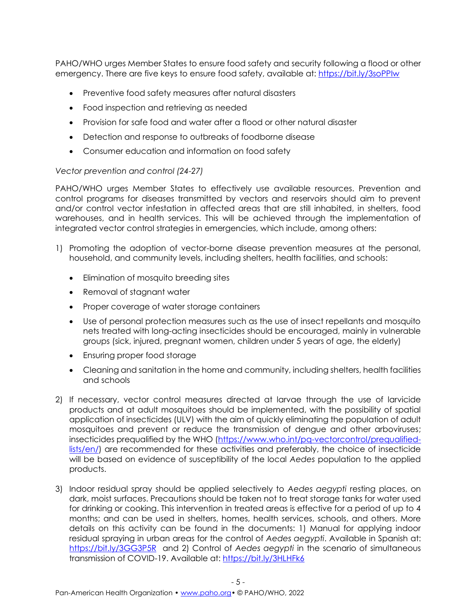PAHO/WHO urges Member States to ensure food safety and security following a flood or other emergency. There are five keys to ensure food safety, available at: <https://bit.ly/3soPPIw>

- Preventive food safety measures after natural disasters
- Food inspection and retrieving as needed
- Provision for safe food and water after a flood or other natural disaster
- Detection and response to outbreaks of foodborne disease
- Consumer education and information on food safety

### *Vector prevention and control (24-27)*

PAHO/WHO urges Member States to effectively use available resources. Prevention and control programs for diseases transmitted by vectors and reservoirs should aim to prevent and/or control vector infestation in affected areas that are still inhabited, in shelters, food warehouses, and in health services. This will be achieved through the implementation of integrated vector control strategies in emergencies, which include, among others:

- 1) Promoting the adoption of vector-borne disease prevention measures at the personal, household, and community levels, including shelters, health facilities, and schools:
	- Elimination of mosquito breeding sites
	- Removal of stagnant water
	- Proper coverage of water storage containers
	- Use of personal protection measures such as the use of insect repellants and mosquito nets treated with long-acting insecticides should be encouraged, mainly in vulnerable groups (sick, injured, pregnant women, children under 5 years of age, the elderly)
	- Ensuring proper food storage
	- Cleaning and sanitation in the home and community, including shelters, health facilities and schools
- 2) If necessary, vector control measures directed at larvae through the use of larvicide products and at adult mosquitoes should be implemented, with the possibility of spatial application of insecticides (ULV) with the aim of quickly eliminating the population of adult mosquitoes and prevent or reduce the transmission of dengue and other arboviruses; insecticides prequalified by the WHO [\(https://www.who.int/pq-vectorcontrol/prequalified](https://www.who.int/pq-vectorcontrol/prequalified-lists/en/)[lists/en/\)](https://www.who.int/pq-vectorcontrol/prequalified-lists/en/) are recommended for these activities and preferably, the choice of insecticide will be based on evidence of susceptibility of the local *Aedes* population to the applied products.
- 3) Indoor residual spray should be applied selectively to *Aedes aegypti* resting places, on dark, moist surfaces. Precautions should be taken not to treat storage tanks for water used for drinking or cooking. This intervention in treated areas is effective for a period of up to 4 months; and can be used in shelters, homes, health services, schools, and others. More details on this activity can be found in the documents: 1) Manual for applying indoor residual spraying in urban areas for the control of *Aedes aegypti*. Available in Spanish at: <https://bit.ly/3GG3P5R> and 2) Control of *Aedes aegypti* in the scenario of simultaneous transmission of COVID-19. Available at:<https://bit.ly/3HLHFk6>

- 5 -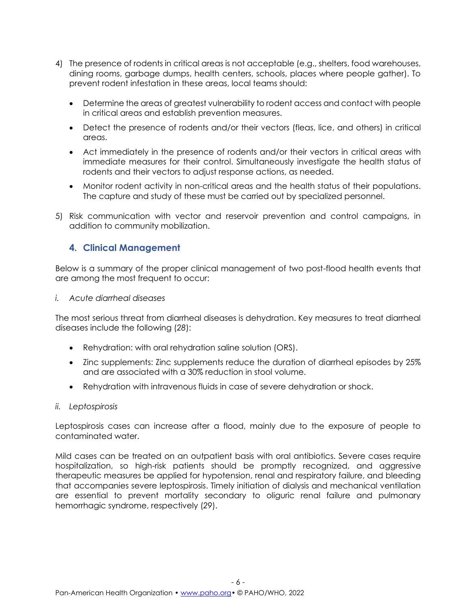- 4) The presence of rodents in critical areas is not acceptable (e.g., shelters, food warehouses, dining rooms, garbage dumps, health centers, schools, places where people gather). To prevent rodent infestation in these areas, local teams should:
	- Determine the areas of greatest vulnerability to rodent access and contact with people in critical areas and establish prevention measures.
	- Detect the presence of rodents and/or their vectors (fleas, lice, and others) in critical areas.
	- Act immediately in the presence of rodents and/or their vectors in critical areas with immediate measures for their control. Simultaneously investigate the health status of rodents and their vectors to adjust response actions, as needed.
	- Monitor rodent activity in non-critical areas and the health status of their populations. The capture and study of these must be carried out by specialized personnel.
- 5) Risk communication with vector and reservoir prevention and control campaigns, in addition to community mobilization.

## **4. Clinical Management**

Below is a summary of the proper clinical management of two post-flood health events that are among the most frequent to occur:

*i. Acute diarrheal diseases*

The most serious threat from diarrheal diseases is dehydration. Key measures to treat diarrheal diseases include the following (*28*):

- Rehydration: with oral rehydration saline solution (ORS).
- Zinc supplements: Zinc supplements reduce the duration of diarrheal episodes by 25% and are associated with a 30% reduction in stool volume.
- Rehydration with intravenous fluids in case of severe dehydration or shock.
- *ii. Leptospirosis*

Leptospirosis cases can increase after a flood, mainly due to the exposure of people to contaminated water.

Mild cases can be treated on an outpatient basis with oral antibiotics. Severe cases require hospitalization, so high-risk patients should be promptly recognized, and aggressive therapeutic measures be applied for hypotension, renal and respiratory failure, and bleeding that accompanies severe leptospirosis. Timely initiation of dialysis and mechanical ventilation are essential to prevent mortality secondary to oliguric renal failure and pulmonary hemorrhagic syndrome, respectively (*29*).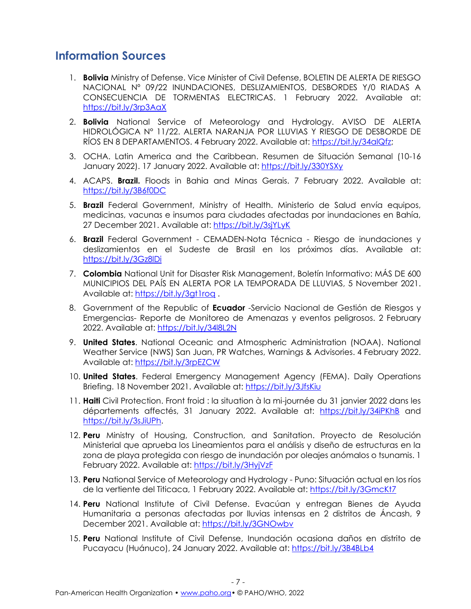## **Information Sources**

- 1. **Bolivia** Ministry of Defense. Vice Minister of Civil Defense, BOLETIN DE ALERTA DE RIESGO NACIONAL Nº 09/22 INUNDACIONES, DESLIZAMIENTOS, DESBORDES Y/0 RIADAS A CONSECUENCIA DE TORMENTAS ELECTRICAS. 1 February 2022. Available at: <https://bit.ly/3rp3AaX>
- 2. **Bolivia** National Service of Meteorology and Hydrology. AVISO DE ALERTA HIDROLÓGICA N° 11/22. ALERTA NARANJA POR LLUVIAS Y RIESGO DE DESBORDE DE RÍOS EN 8 DEPARTAMENTOS. 4 February 2022. Available at[: https://bit.ly/34alQfz;](https://bit.ly/34alQfz)
- 3. OCHA. Latin America and the Caribbean. Resumen de Situación Semanal (10-16 January 2022). 17 January 2022. Available at:<https://bit.ly/330YSXy>
- 4. ACAPS. **Brazil.** Floods in Bahia and Minas Gerais. 7 February 2022. Available at: <https://bit.ly/3B6f0DC>
- 5. **Brazil** Federal Government, Ministry of Health. Ministerio de Salud envía equipos, medicinas, vacunas e insumos para ciudades afectadas por inundaciones en Bahía, 27 December 2021. Available at:<https://bit.ly/3sjYLyK>
- 6. **Brazil** Federal Government CEMADEN-Nota Técnica Riesgo de inundaciones y deslizamientos en el Sudeste de Brasil en los próximos días. Available at: <https://bit.ly/3Gz8lDi>
- 7. **Colombia** National Unit for Disaster Risk Management, Boletín Informativo: MÁS DE 600 MUNICIPIOS DEL PAÍS EN ALERTA POR LA TEMPORADA DE LLUVIAS, 5 November 2021. Available at:<https://bit.ly/3gt1roq> .
- 8. Government of the Republic of **Ecuador** -Servicio Nacional de Gestión de Riesgos y Emergencias- Reporte de Monitoreo de Amenazas y eventos peligrosos. 2 February 2022. Available at: https://bit.ly/348L2N
- 9. **United States**. National Oceanic and Atmospheric Administration (NOAA). National Weather Service (NWS) San Juan, PR Watches, Warnings & Advisories. 4 February 2022. Available at:<https://bit.ly/3rpEZCW>
- 10. **United States**. Federal Emergency Management Agency (FEMA). Daily Operations Briefing. 18 November 2021. Available at:<https://bit.ly/3JfsKiu>
- 11. **Haiti** Civil Protection. Front froid : la situation à la mi-journée du 31 janvier 2022 dans les départements affectés, 31 January 2022. Available at: <https://bit.ly/34iPKhB> and [https://bit.ly/3sJiUPh.](https://bit.ly/3sJiUPh)
- 12. **Peru** Ministry of Housing, Construction, and Sanitation. Proyecto de Resolución Ministerial que aprueba los Lineamientos para el análisis y diseño de estructuras en la zona de playa protegida con riesgo de inundación por oleajes anómalos o tsunamis. 1 February 2022. Available at:<https://bit.ly/3HyjVzF>
- 13. **Peru** National Service of Meteorology and Hydrology Puno: Situación actual en los ríos de la vertiente del Titicaca, 1 February 2022. Available at: https://bit.ly/3GmcKt7
- 14. **Peru** National Institute of Civil Defense. Evacúan y entregan Bienes de Ayuda Humanitaria a personas afectadas por lluvias intensas en 2 distritos de Áncash, 9 December 2021. Available at:<https://bit.ly/3GNOwbv>
- 15. **Peru** National Institute of Civil Defense, Inundación ocasiona daños en distrito de Pucayacu (Huánuco), 24 January 2022. Available at: https://bit.ly/3B4BLb4